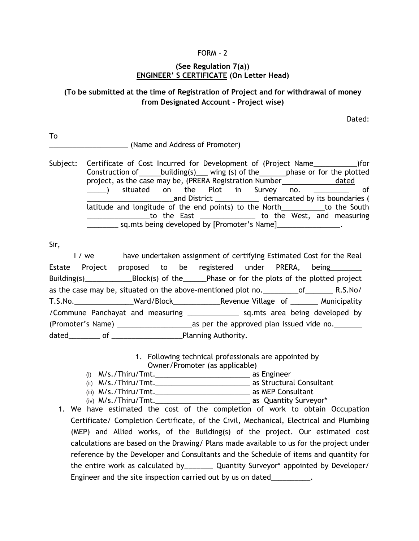### FORM – 2

### **(See Regulation 7(a)) ENGINEER' S CERTIFICATE (On Letter Head)**

## **(To be submitted at the time of Registration of Project and for withdrawal of money from Designated Account – Project wise)**

Dated:

To \_\_\_\_\_\_\_\_\_\_\_\_\_\_\_\_\_\_\_\_ (Name and Address of Promoter)

Subject: Certificate of Cost Incurred for Development of (Project Name\_\_\_\_\_\_\_\_\_\_\_)for Construction of building(s) wing (s) of the phase or for the plotted project, as the case may be, (PRERA Registration Number dated \_\_\_\_\_) situated on the Plot in Survey no. \_\_\_\_\_\_\_\_\_ of \_\_\_\_\_\_\_\_\_\_\_\_\_\_\_\_\_\_\_\_\_\_and District \_\_\_\_\_\_\_\_\_\_\_ demarcated by its boundaries ( latitude and longitude of the end points) to the North The South to the East to the West, and measuring \_\_\_\_\_\_\_\_ sq.mts being developed by [Promoter's Name]\_\_\_\_\_\_\_\_\_\_\_\_\_\_\_\_.

Sir,

I / we have undertaken assignment of certifying Estimated Cost for the Real Estate Project proposed to be registered under PRERA, being\_\_\_\_\_\_\_\_ Building(s) Block(s) of the Phase or for the plots of the plotted project as the case may be, situated on the above-mentioned plot no.  $\qquad \qquad$  of R.S.No/ T.S.No.\_\_\_\_\_\_\_\_\_\_\_\_\_\_\_Ward/Block\_\_\_\_\_\_\_\_\_\_\_\_Revenue Village of \_\_\_\_\_\_\_ Municipality /Commune Panchayat and measuring \_\_\_\_\_\_\_\_\_\_\_\_\_ sq.mts area being developed by (Promoter's Name) \_\_\_\_\_\_\_\_\_\_\_\_\_\_\_\_\_\_\_as per the approved plan issued vide no.\_\_\_\_\_\_\_ dated of of **the contract of the contract of the contract of the contract of the contract of the contract of the contract of the contract of the contract of the contract of the contract of the contract of the contract of t** 

> 1. Following technical professionals are appointed by Owner/Promoter (as applicable)

- (i) M/s./Thiru/Tmt.\_\_\_\_\_\_\_\_\_\_\_\_\_\_\_\_\_\_\_\_\_\_\_\_ as Engineer
- (ii) M/s./Thiru/Tmt.\_\_\_\_\_\_\_\_\_\_\_\_\_\_\_\_\_\_\_\_\_\_\_\_ as Structural Consultant
- (iii) M/s./Thiru/Tmt.\_\_\_\_\_\_\_\_\_\_\_\_\_\_\_\_\_\_\_\_\_\_\_\_ as MEP Consultant
- (iv) M/s./Thiru/Tmt.\_\_\_\_\_\_\_\_\_\_\_\_\_\_\_\_\_\_\_\_\_\_\_\_ as Quantity Surveyor\*
- 1. We have estimated the cost of the completion of work to obtain Occupation Certificate/ Completion Certificate, of the Civil, Mechanical, Electrical and Plumbing (MEP) and Allied works, of the Building(s) of the project. Our estimated cost calculations are based on the Drawing/ Plans made available to us for the project under reference by the Developer and Consultants and the Schedule of items and quantity for the entire work as calculated by \_\_\_\_\_\_\_ Quantity Surveyor\* appointed by Developer/ Engineer and the site inspection carried out by us on dated\_\_\_\_\_\_\_\_\_\_.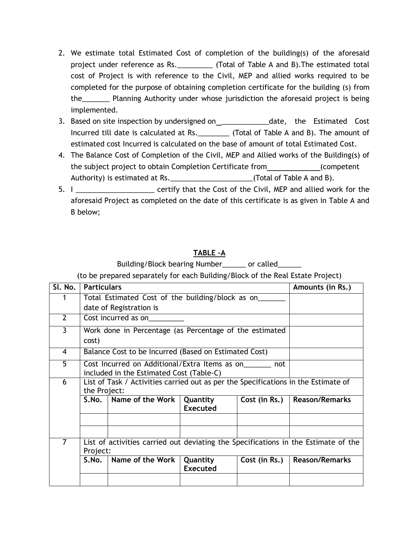- 2. We estimate total Estimated Cost of completion of the building(s) of the aforesaid project under reference as Rs.\_\_\_\_\_\_\_\_\_ (Total of Table A and B).The estimated total cost of Project is with reference to the Civil, MEP and allied works required to be completed for the purpose of obtaining completion certificate for the building (s) from the\_\_\_\_\_\_\_ Planning Authority under whose jurisdiction the aforesaid project is being implemented.
- 3. Based on site inspection by undersigned on\_\_\_\_\_\_\_\_\_\_\_\_\_\_date, the Estimated Cost Incurred till date is calculated at Rs. \_\_\_\_\_\_\_\_ (Total of Table A and B). The amount of estimated cost Incurred is calculated on the base of amount of total Estimated Cost.
- 4. The Balance Cost of Completion of the Civil, MEP and Allied works of the Building(s) of the subject project to obtain Completion Certificate from (competent Authority) is estimated at Rs. \_\_\_\_\_\_\_\_\_\_\_\_\_\_\_\_\_\_\_\_\_\_\_(Total of Table A and B).
- 5. I \_\_\_\_\_\_\_\_\_\_\_\_\_\_\_\_\_\_\_\_ certify that the Cost of the Civil, MEP and allied work for the aforesaid Project as completed on the date of this certificate is as given in Table A and B below;

# **TABLE –A**

# Building/Block bearing Number called

(to be prepared separately for each Building/Block of the Real Estate Project)

| SI. No.        | <b>Particulars</b>                                                                                   |                                                  | Amounts (in Rs.)                                                                   |               |                       |  |  |  |
|----------------|------------------------------------------------------------------------------------------------------|--------------------------------------------------|------------------------------------------------------------------------------------|---------------|-----------------------|--|--|--|
|                |                                                                                                      | Total Estimated Cost of the building/block as on |                                                                                    |               |                       |  |  |  |
|                | date of Registration is                                                                              |                                                  |                                                                                    |               |                       |  |  |  |
| $\overline{2}$ | Cost incurred as on                                                                                  |                                                  |                                                                                    |               |                       |  |  |  |
| $\mathbf{3}$   | Work done in Percentage (as Percentage of the estimated                                              |                                                  |                                                                                    |               |                       |  |  |  |
|                | cost)                                                                                                |                                                  |                                                                                    |               |                       |  |  |  |
| 4              | Balance Cost to be Incurred (Based on Estimated Cost)                                                |                                                  |                                                                                    |               |                       |  |  |  |
| 5              | Cost Incurred on Additional/Extra Items as on_______ not<br>included in the Estimated Cost (Table-C) |                                                  |                                                                                    |               |                       |  |  |  |
| 6              | List of Task / Activities carried out as per the Specifications in the Estimate of<br>the Project:   |                                                  |                                                                                    |               |                       |  |  |  |
|                | S.No.                                                                                                | Name of the Work                                 | Quantity<br><b>Executed</b>                                                        | Cost (in Rs.) | <b>Reason/Remarks</b> |  |  |  |
|                |                                                                                                      |                                                  |                                                                                    |               |                       |  |  |  |
| $\overline{7}$ | Project:                                                                                             |                                                  | List of activities carried out deviating the Specifications in the Estimate of the |               |                       |  |  |  |
|                | S.No.                                                                                                | Name of the Work                                 | Quantity<br><b>Executed</b>                                                        | Cost (in Rs.) | <b>Reason/Remarks</b> |  |  |  |
|                |                                                                                                      |                                                  |                                                                                    |               |                       |  |  |  |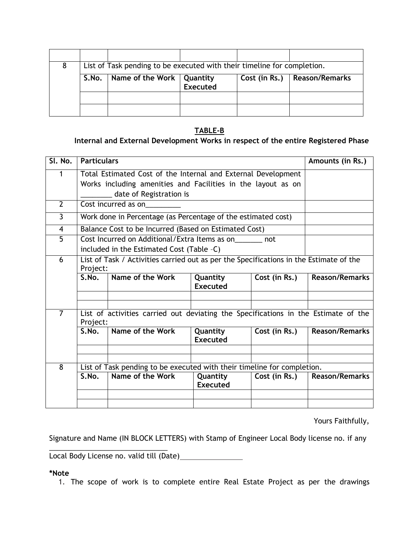| List of Task pending to be executed with their timeline for completion. |                             |          |               |                       |  |  |  |
|-------------------------------------------------------------------------|-----------------------------|----------|---------------|-----------------------|--|--|--|
| S.No.                                                                   | Name of the Work   Quantity | Executed | Cost (in Rs.) | <b>Reason/Remarks</b> |  |  |  |
|                                                                         |                             |          |               |                       |  |  |  |
|                                                                         |                             |          |               |                       |  |  |  |

## **TABLE-B**

# **Internal and External Development Works in respect of the entire Registered Phase**

| SI. No.        | <b>Particulars</b>                                                                     | Amounts (in Rs.)                                                        |                             |               |                       |  |  |
|----------------|----------------------------------------------------------------------------------------|-------------------------------------------------------------------------|-----------------------------|---------------|-----------------------|--|--|
| $\mathbf 1$    | Total Estimated Cost of the Internal and External Development                          |                                                                         |                             |               |                       |  |  |
|                | Works including amenities and Facilities in the layout as on                           |                                                                         |                             |               |                       |  |  |
|                |                                                                                        |                                                                         |                             |               |                       |  |  |
| $\overline{2}$ | Cost incurred as on                                                                    |                                                                         |                             |               |                       |  |  |
| $\overline{3}$ | Work done in Percentage (as Percentage of the estimated cost)                          |                                                                         |                             |               |                       |  |  |
| $\overline{4}$ | Balance Cost to be Incurred (Based on Estimated Cost)                                  |                                                                         |                             |               |                       |  |  |
| $\overline{5}$ | Cost Incurred on Additional/Extra Items as on _______ not                              |                                                                         |                             |               |                       |  |  |
|                | included in the Estimated Cost (Table -C)                                              |                                                                         |                             |               |                       |  |  |
| 6              | List of Task / Activities carried out as per the Specifications in the Estimate of the |                                                                         |                             |               |                       |  |  |
|                | Project:                                                                               |                                                                         |                             |               |                       |  |  |
|                | S.No.                                                                                  | Name of the Work                                                        | Quantity                    | Cost (in Rs.) | <b>Reason/Remarks</b> |  |  |
|                |                                                                                        |                                                                         | <b>Executed</b>             |               |                       |  |  |
|                |                                                                                        |                                                                         |                             |               |                       |  |  |
| $\overline{7}$ | List of activities carried out deviating the Specifications in the Estimate of the     |                                                                         |                             |               |                       |  |  |
|                | Project:                                                                               |                                                                         |                             |               |                       |  |  |
|                | S.No.                                                                                  | Name of the Work                                                        | Quantity                    | Cost (in Rs.) | <b>Reason/Remarks</b> |  |  |
|                |                                                                                        |                                                                         | <b>Executed</b>             |               |                       |  |  |
|                |                                                                                        |                                                                         |                             |               |                       |  |  |
| 8              |                                                                                        | List of Task pending to be executed with their timeline for completion. |                             |               |                       |  |  |
|                | S.No.                                                                                  | <b>Reason/Remarks</b>                                                   |                             |               |                       |  |  |
|                |                                                                                        | Name of the Work                                                        | Quantity<br><b>Executed</b> | Cost (in Rs.) |                       |  |  |
|                |                                                                                        |                                                                         |                             |               |                       |  |  |
|                |                                                                                        |                                                                         |                             |               |                       |  |  |

Yours Faithfully,

Signature and Name (IN BLOCK LETTERS) with Stamp of Engineer Local Body license no. if any

\_\_\_\_\_\_\_\_\_\_\_\_\_\_\_\_\_\_\_\_\_\_\_\_\_\_\_\_\_\_ Local Body License no. valid till (Date)

#### **\*Note**

1. The scope of work is to complete entire Real Estate Project as per the drawings